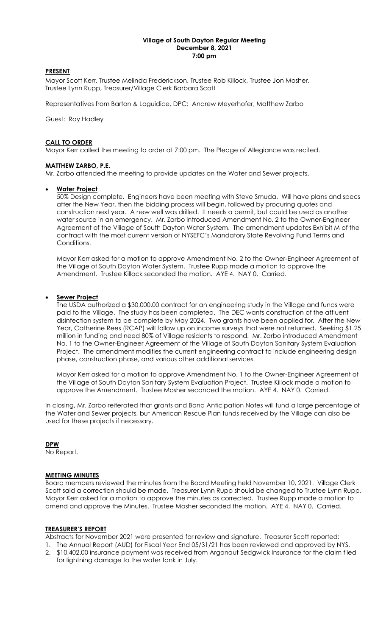#### Village of South Dayton Regular Meeting December 8, 2021 7:00 pm

### PRESENT

Mayor Scott Kerr, Trustee Melinda Frederickson, Trustee Rob Killock, Trustee Jon Mosher, Trustee Lynn Rupp, Treasurer/Village Clerk Barbara Scott

Representatives from Barton & Loguidice, DPC: Andrew Meyerhofer, Matthew Zarbo

Guest: Ray Hadley

### CALL TO ORDER

Mayor Kerr called the meeting to order at 7:00 pm. The Pledge of Allegiance was recited.

### MATTHEW ZARBO, P.E.

Mr. Zarbo attended the meeting to provide updates on the Water and Sewer projects.

### Water Project

50% Design complete. Engineers have been meeting with Steve Smuda. Will have plans and specs after the New Year, then the bidding process will begin, followed by procuring quotes and construction next year. A new well was drilled. It needs a permit, but could be used as another water source in an emergency. Mr. Zarbo introduced Amendment No. 2 to the Owner-Engineer Agreement of the Village of South Dayton Water System. The amendment updates Exhibit M of the contract with the most current version of NYSEFC's Mandatory State Revolving Fund Terms and Conditions.

Mayor Kerr asked for a motion to approve Amendment No. 2 to the Owner-Engineer Agreement of the Village of South Dayton Water System. Trustee Rupp made a motion to approve the Amendment. Trustee Killock seconded the motion. AYE 4. NAY 0. Carried.

### Sewer Project

The USDA authorized a \$30,000.00 contract for an engineering study in the Village and funds were paid to the Village. The study has been completed. The DEC wants construction of the affluent disinfection system to be complete by May 2024. Two grants have been applied for. After the New Year, Catherine Rees (RCAP) will follow up on income surveys that were not returned. Seeking \$1.25 million in funding and need 80% of Village residents to respond. Mr. Zarbo introduced Amendment No. 1 to the Owner-Engineer Agreement of the Village of South Dayton Sanitary System Evaluation Project. The amendment modifies the current engineering contract to include engineering design phase, construction phase, and various other additional services.

Mayor Kerr asked for a motion to approve Amendment No. 1 to the Owner-Engineer Agreement of the Village of South Dayton Sanitary System Evaluation Project. Trustee Killock made a motion to approve the Amendment. Trustee Mosher seconded the motion. AYE 4. NAY 0. Carried.

In closing, Mr. Zarbo reiterated that grants and Bond Anticipation Notes will fund a large percentage of the Water and Sewer projects, but American Rescue Plan funds received by the Village can also be used for these projects if necessary.

### DPW

No Report.

### MEETING MINUTES

Board members reviewed the minutes from the Board Meeting held November 10, 2021. Village Clerk Scott said a correction should be made. Treasurer Lynn Rupp should be changed to Trustee Lynn Rupp. Mayor Kerr asked for a motion to approve the minutes as corrected. Trustee Rupp made a motion to amend and approve the Minutes. Trustee Mosher seconded the motion. AYE 4. NAY 0. Carried.

### TREASURER'S REPORT

Abstracts for November 2021 were presented for review and signature. Treasurer Scott reported:

- 1. The Annual Report (AUD) for Fiscal Year End 05/31/21 has been reviewed and approved by NYS. 2. \$10,402.00 insurance payment was received from Argonaut Sedgwick Insurance for the claim filed
- for lightning damage to the water tank in July.